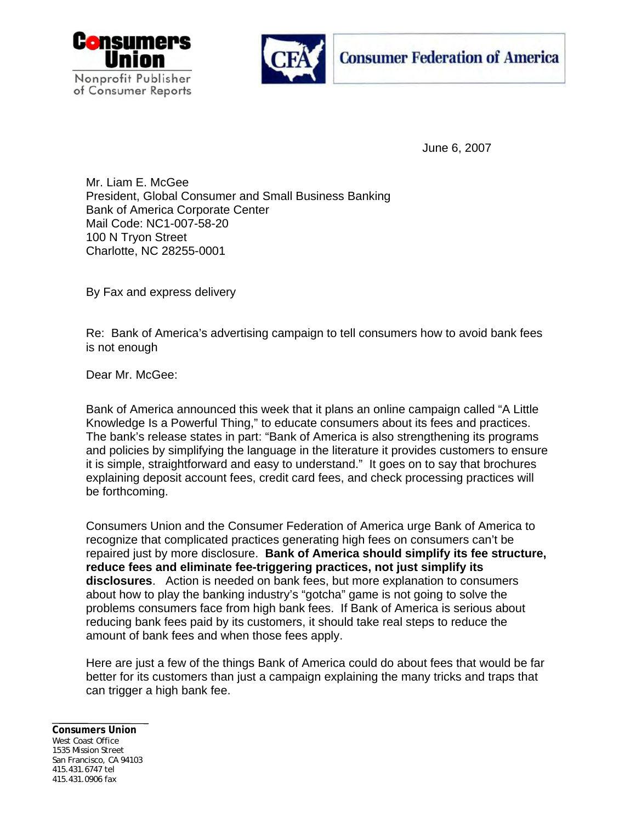



June 6, 2007

Mr. Liam E. McGee President, Global Consumer and Small Business Banking Bank of America Corporate Center Mail Code: NC1-007-58-20 100 N Tryon Street Charlotte, NC 28255-0001

By Fax and express delivery

Re: Bank of America's advertising campaign to tell consumers how to avoid bank fees is not enough

Dear Mr. McGee:

Bank of America announced this week that it plans an online campaign called "A Little Knowledge Is a Powerful Thing," to educate consumers about its fees and practices. The bank's release states in part: "Bank of America is also strengthening its programs and policies by simplifying the language in the literature it provides customers to ensure it is simple, straightforward and easy to understand." It goes on to say that brochures explaining deposit account fees, credit card fees, and check processing practices will be forthcoming.

Consumers Union and the Consumer Federation of America urge Bank of America to recognize that complicated practices generating high fees on consumers can't be repaired just by more disclosure. **Bank of America should simplify its fee structure, reduce fees and eliminate fee-triggering practices, not just simplify its disclosures**. Action is needed on bank fees, but more explanation to consumers about how to play the banking industry's "gotcha" game is not going to solve the problems consumers face from high bank fees. If Bank of America is serious about reducing bank fees paid by its customers, it should take real steps to reduce the amount of bank fees and when those fees apply.

Here are just a few of the things Bank of America could do about fees that would be far better for its customers than just a campaign explaining the many tricks and traps that can trigger a high bank fee.

## **Consumers Union**  West Coast Office 1535 Mission Street San Francisco, CA 94103 415.431.6747 tel 415.431.0906 fax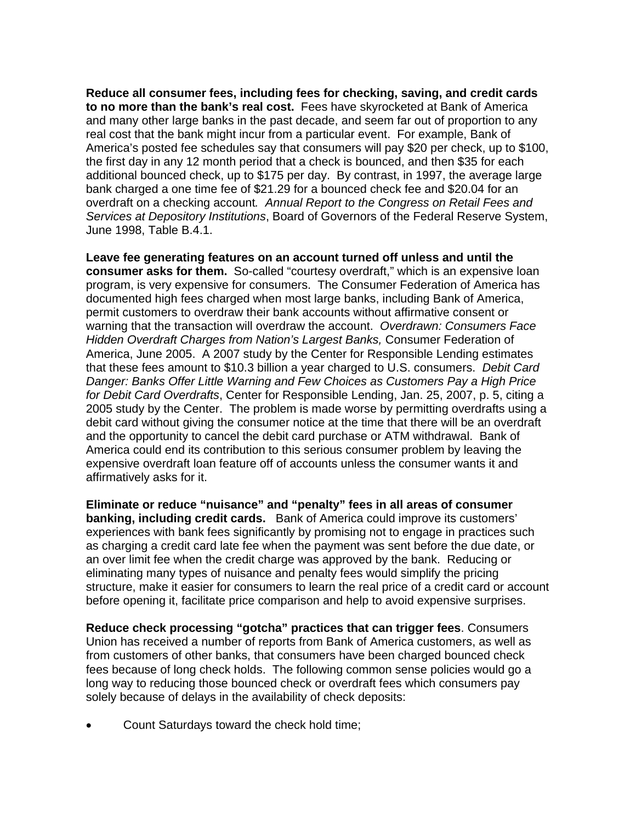**Reduce all consumer fees, including fees for checking, saving, and credit cards to no more than the bank's real cost.** Fees have skyrocketed at Bank of America and many other large banks in the past decade, and seem far out of proportion to any real cost that the bank might incur from a particular event. For example, Bank of America's posted fee schedules say that consumers will pay \$20 per check, up to \$100, the first day in any 12 month period that a check is bounced, and then \$35 for each additional bounced check, up to \$175 per day. By contrast, in 1997, the average large bank charged a one time fee of \$21.29 for a bounced check fee and \$20.04 for an overdraft on a checking account*. Annual Report to the Congress on Retail Fees and Services at Depository Institutions*, Board of Governors of the Federal Reserve System, June 1998, Table B.4.1.

**Leave fee generating features on an account turned off unless and until the consumer asks for them.** So-called "courtesy overdraft," which is an expensive loan program, is very expensive for consumers. The Consumer Federation of America has documented high fees charged when most large banks, including Bank of America, permit customers to overdraw their bank accounts without affirmative consent or warning that the transaction will overdraw the account. *Overdrawn: Consumers Face Hidden Overdraft Charges from Nation's Largest Banks,* Consumer Federation of America, June 2005. A 2007 study by the Center for Responsible Lending estimates that these fees amount to \$10.3 billion a year charged to U.S. consumers. *Debit Card Danger: Banks Offer Little Warning and Few Choices as Customers Pay a High Price for Debit Card Overdrafts*, Center for Responsible Lending, Jan. 25, 2007, p. 5, citing a 2005 study by the Center. The problem is made worse by permitting overdrafts using a debit card without giving the consumer notice at the time that there will be an overdraft and the opportunity to cancel the debit card purchase or ATM withdrawal. Bank of America could end its contribution to this serious consumer problem by leaving the expensive overdraft loan feature off of accounts unless the consumer wants it and affirmatively asks for it.

**Eliminate or reduce "nuisance" and "penalty" fees in all areas of consumer banking, including credit cards.** Bank of America could improve its customers' experiences with bank fees significantly by promising not to engage in practices such as charging a credit card late fee when the payment was sent before the due date, or an over limit fee when the credit charge was approved by the bank. Reducing or eliminating many types of nuisance and penalty fees would simplify the pricing structure, make it easier for consumers to learn the real price of a credit card or account before opening it, facilitate price comparison and help to avoid expensive surprises.

**Reduce check processing "gotcha" practices that can trigger fees**. Consumers Union has received a number of reports from Bank of America customers, as well as from customers of other banks, that consumers have been charged bounced check fees because of long check holds. The following common sense policies would go a long way to reducing those bounced check or overdraft fees which consumers pay solely because of delays in the availability of check deposits:

• Count Saturdays toward the check hold time;